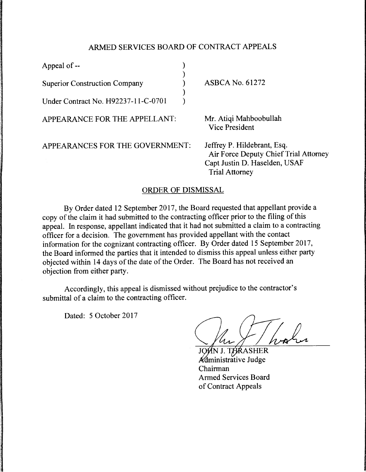## ARMED SERVICES BOARD OF CONTRACT APPEALS

| Appeal of --                         |                                                                                                                                |
|--------------------------------------|--------------------------------------------------------------------------------------------------------------------------------|
| <b>Superior Construction Company</b> | <b>ASBCA No. 61272</b>                                                                                                         |
| Under Contract No. H92237-11-C-0701  |                                                                                                                                |
| APPEARANCE FOR THE APPELLANT:        | Mr. Atiqi Mahboobullah<br><b>Vice President</b>                                                                                |
| APPEARANCES FOR THE GOVERNMENT:      | Jeffrey P. Hildebrant, Esq.<br>Air Force Deputy Chief Trial Attorney<br>Capt Justin D. Haselden, USAF<br><b>Trial Attorney</b> |

## ORDER OF DISMISSAL

By Order dated 12 September 2017, the Board requested that appellant provide a copy of the claim it had submitted to the contracting officer prior to the filing of this appeal. In response, appellant indicated that it had not submitted a claim to a contracting officer for a decision. The government has provided appellant with the contact information for the cognizant contracting officer. By Order dated 15 September 2017, the Board informed the parties that it intended to dismiss this appeal unless either party objected within 14 days of the date of the Order. The Board has not received an objection from either party.

Accordingly, this appeal is dismissed without prejudice to the contractor's submittal of a claim to the contracting officer.

Dated: 5 October 2017

*I* haber

Administrative Judge Chairman Armed Services Board of Contract Appeals